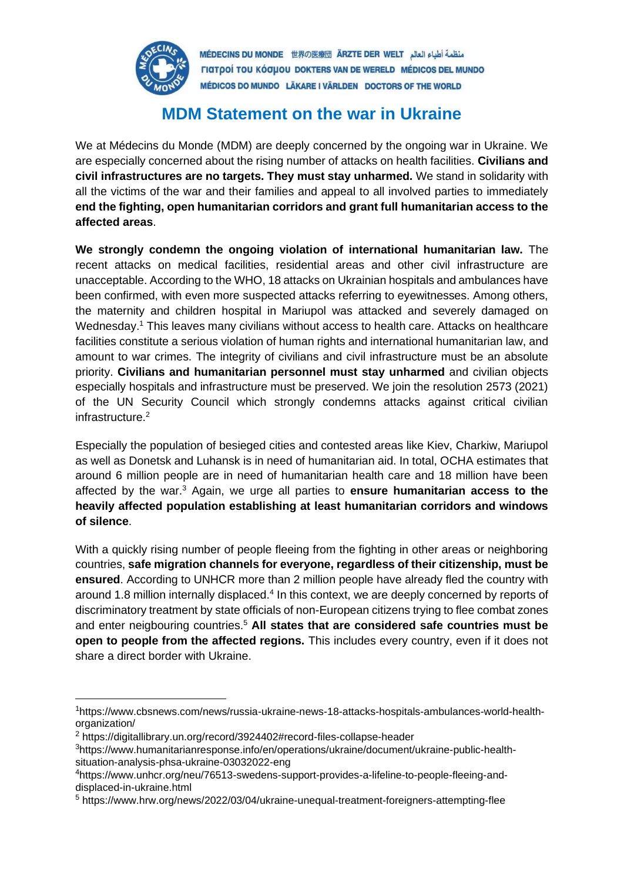

MÉDECINS DU MONDE 世界の医療団 ARZTE DER WELT المنظمة أطباء العالم ΓΙατροί του κόσμου DOKTERS VAN DE WERELD MÉDICOS DEL MUNDO MÉDICOS DO MUNDO LÄKARE I VÄRLDEN DOCTORS OF THE WORLD

## **MDM Statement on the war in Ukraine**

We at Médecins du Monde (MDM) are deeply concerned by the ongoing war in Ukraine. We are especially concerned about the rising number of attacks on health facilities. **Civilians and civil infrastructures are no targets. They must stay unharmed.** We stand in solidarity with all the victims of the war and their families and appeal to all involved parties to immediately **end the fighting, open humanitarian corridors and grant full humanitarian access to the affected areas**.

**We strongly condemn the ongoing violation of international humanitarian law.** The recent attacks on medical facilities, residential areas and other civil infrastructure are unacceptable. According to the WHO, 18 attacks on Ukrainian hospitals and ambulances have been confirmed, with even more suspected attacks referring to eyewitnesses. Among others, the maternity and children hospital in Mariupol was attacked and severely damaged on Wednesday.<sup>1</sup> This leaves many civilians without access to health care. Attacks on healthcare facilities constitute a serious violation of human rights and international humanitarian law, and amount to war crimes. The integrity of civilians and civil infrastructure must be an absolute priority. **Civilians and humanitarian personnel must stay unharmed** and civilian objects especially hospitals and infrastructure must be preserved. We join the resolution 2573 (2021) of the UN Security Council which strongly condemns attacks against critical civilian infrastructure.<sup>2</sup>

Especially the population of besieged cities and contested areas like Kiev, Charkiw, Mariupol as well as Donetsk and Luhansk is in need of humanitarian aid. In total, OCHA estimates that around 6 million people are in need of humanitarian health care and 18 million have been affected by the war.<sup>3</sup> Again, we urge all parties to **ensure humanitarian access to the heavily affected population establishing at least humanitarian corridors and windows of silence**.

With a quickly rising number of people fleeing from the fighting in other areas or neighboring countries, **safe migration channels for everyone, regardless of their citizenship, must be ensured**. According to UNHCR more than 2 million people have already fled the country with around 1.8 million internally displaced.<sup>4</sup> In this context, we are deeply concerned by reports of discriminatory treatment by state officials of non-European citizens trying to flee combat zones and enter neigbouring countries.<sup>5</sup> All states that are considered safe countries must be **open to people from the affected regions.** This includes every country, even if it does not share a direct border with Ukraine.

<sup>1</sup>https://www.cbsnews.com/news/russia-ukraine-news-18-attacks-hospitals-ambulances-world-healthorganization/

<sup>2</sup> https://digitallibrary.un.org/record/3924402#record-files-collapse-header

<sup>3</sup>https://www.humanitarianresponse.info/en/operations/ukraine/document/ukraine-public-healthsituation-analysis-phsa-ukraine-03032022-eng

<sup>4</sup>https://www.unhcr.org/neu/76513-swedens-support-provides-a-lifeline-to-people-fleeing-anddisplaced-in-ukraine.html

<sup>5</sup> https://www.hrw.org/news/2022/03/04/ukraine-unequal-treatment-foreigners-attempting-flee